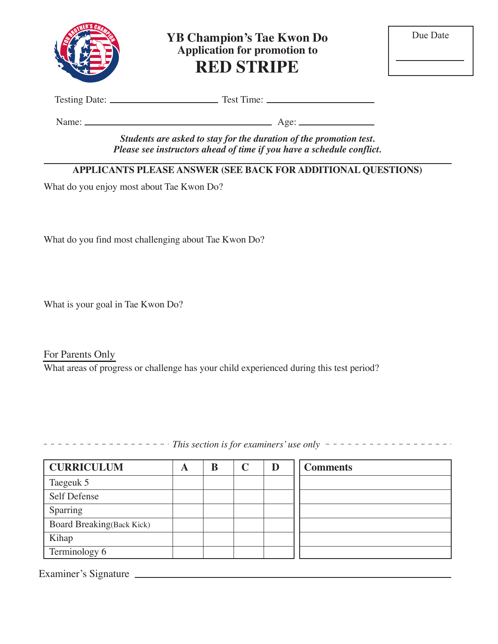

**YB Champion's Tae Kwon Do Application for promotion to RED STRIPE**

Testing Date: Test Time:

Name: Age:

*Students are asked to stay for the duration of the promotion test. Please see instructors ahead of time if you have a schedule conflict.*

## **APPLICANTS PLEASE ANSWER (SEE BACK FOR ADDITIONAL QUESTIONS)**

What do you enjoy most about Tae Kwon Do?

What do you find most challenging about Tae Kwon Do?

What is your goal in Tae Kwon Do?

For Parents Only What areas of progress or challenge has your child experienced during this test period?

*This section is for examiners' use only* 

| <b>CURRICULUM</b>                | A | B | D | <b>Comments</b> |
|----------------------------------|---|---|---|-----------------|
| Taegeuk 5                        |   |   |   |                 |
| Self Defense                     |   |   |   |                 |
| Sparring                         |   |   |   |                 |
| <b>Board Breaking(Back Kick)</b> |   |   |   |                 |
| Kihap                            |   |   |   |                 |
| Terminology 6                    |   |   |   |                 |

Examiner's Signature